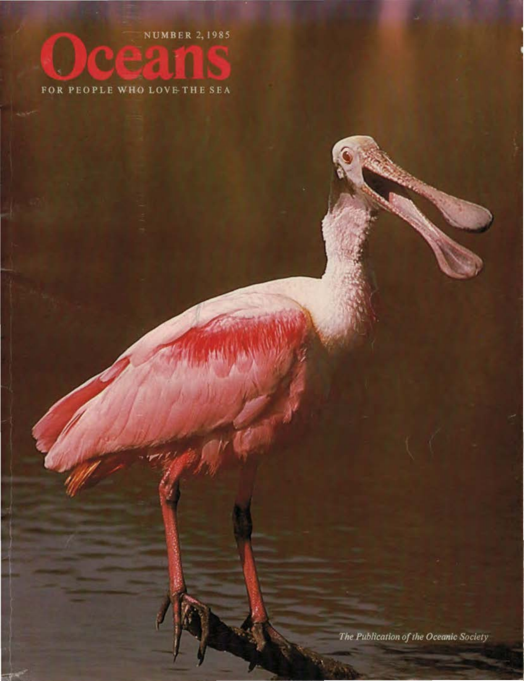**NUMBER 2, 1985** 

## FOR PEOPLE WHO LOVE THE SEA

The Publication of the Oceanic Society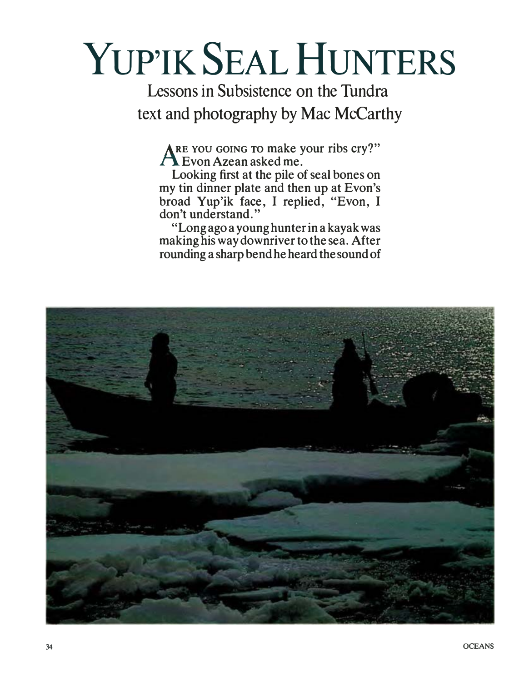## YUP'IK SEAL HUNTERS

Lessons in Subsistence on the Tundra text and photography by Mac McCarthy

**ARE vou GOING TO make your ribs cry?" J-\.. Evon Azean asked me.** 

**Looking first at the pile of seal bones on my tin dinner plate and then up at Evon's broad Yup'ik face, I replied, "Evon, I don't understand."** 

**"Long ago a young hunter in a kayak was making his way downriver to the sea. After rounding a sharp bend he heard the sound of** 

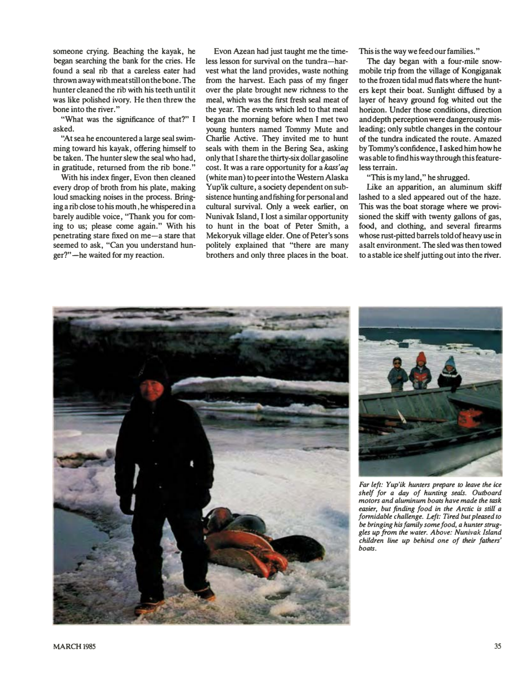**someone crying. Beaching the kayak, he began searching the bank for the cries. He found a seal rib that a careless eater had thrownawaywithmeatstillonthebone. The hunter cleaned the rib with his teeth until it was like polished ivory. He then threw the bone into the river."** 

**"What was the significance of that?" I asked.** 

**·�t sea he encountered a large seal swimming toward his kayak, offering himself to be taken. The hunter slew the seal who had, in gratitude, returned from the rib bone."** 

**With his index finger, Evon then cleaned every drop of broth from his plate, making loud smacking noises in the process. Bringing a rib close to his mouth, he whispered in a barely audible voice, "Thank you for coming to us; please come again." With his penetrating stare fixed on me-a stare that seemed to ask, "Can you understand hunger?" -he waited for my reaction.** 

**Evon Azean had just taught me the timeless lesson for survival on the tundra-harvest what the land provides, waste nothing from the harvest. Each pass of my finger over the plate brought new richness to the meal, which was the first fresh seal meat of the year. The events which led to that meal began the morning before when I met two young hunters named Tommy Mute and Charlie Active. They invited me to hunt seals with them in the Bering Sea, asking only that I share the thirty-six dollar gasoline cost. It was a rare opportunity for a kass'aq ( white man) to peer into the Western Alaska Yup'ik culture, a society dependent on subsistence hunting and fishing for personal and cultural survival. Only a week earlier, on Nunivak Island, I lost a similar opportunity to hunt in the boat of Peter Smith, a Mekoryuk village elder. One of Peter's sons politely explained that "there are many brothers and only three places in the boat.**  **This is the way we feed our families."** 

**The day began with a four-mile snowmobile trip from the village of Kongiganak to the frozen tidal mud flats where the hunters kept their boat. Sunlight diffused by a layer of heavy ground fog whited out the horizon. Under those conditions, direction and depth perception were dangerously misleading; only subtle changes in the contour of the tundra indicated the route. Amazed by Tommy's confidence, I asked him how he was able to find his way through this featureless terrain.** 

**"This is my land," he shrugged.** 

**Like an apparition, an aluminum skiff lashed to a sled appeared out of the haze. This was the boat storage where we provisioned the skiff with twenty gallons of gas, food, and clothing, and several firearms whose rust-pitted barrels told of heavy use in a salt environment. The sled was then towed to a stable ice shelf jutting out into the river.** 





*Far left: Yup'ik hunters prepare to leave the ice shelf for a day of hunting seals. Outboard motors and aluminum boats have made the task easier, but finding food in the Arctic is still' a f onnidable challenge. Left: Tired but pleased to be bringing his family some food, a hunter struggles up from the water. Above: Nunivak Island children line up behind one of their fathers' boats.*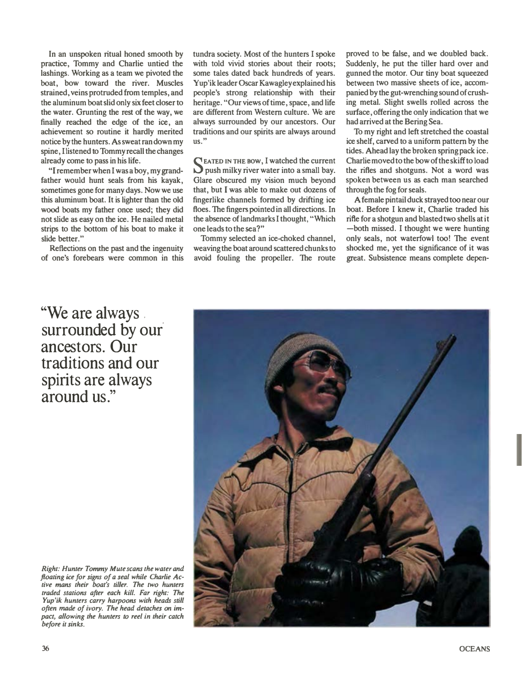**In an unspoken ritual honed smooth by practice, Tommy and Charlie untied the lashings. Working as a team we pivoted the boat, bow toward the river. Muscles strained, veins protruded from temples, and the aluminum boat slid only six feet closer to the water. Grunting the rest of the way, we finally reached the edge of the ice, an achievement so routine it hardly merited notice by the hunters. As sweat ran down my spine, I listened to Tommy recall the changes already come to pass in his life.** 

**"I remember when I was a boy, my grandfather would hunt seals from his kayak, sometimes gone for many days. Now we use this aluminum boat. It is lighter than the old wood boats my father once used; they did not slide as easy on the ice. He nailed metal strips to the bottom of his boat to make it slide better."** 

**Reflections on the past and the ingenuity of one's forebears were common in this**  **tundra society. Most of the hunters I spoke with told vivid stories about their roots; some tales dated back hundreds of years. Yup'ikleader Oscar Kawagleyexplained his people's strong relationship with their heritage. "Our views of time, space, and life are different from Western culture. We are always surrounded by our ancestors. Our traditions and our spirits are always around us."** 

**S** EATED IN THE BOW, I watched the current push milky river water into a small bay. **push milky river water into a small bay. Glare obscured my vision much beyond that, but I was able to make out dozens of fingerlike channels formed by drifting ice floes. The fingers pointed in all directions. In the absence of landmarks I thought, "Which one leads to the sea?"** 

**Tommy selected an ice-choked channel, weaving the boat around scattered chunks to avoid fouling the propeller. The route** 

**proved to be false, and we doubled back. Suddenly, he put the tiller hard over and gunned the motor. Our tiny boat squeezed between two massive sheets of ice, accompanied by the gut-wrenching sound of crushing metal. Slight swells rolled across the surface, offering the only indication that we had arrived at the Bering Sea.** 

**To my right and left stretched the coastal ice shelf, carved to a uniform pattern by the tides. Ahead lay the broken spring pack ice. Charlie moved to the bow of the skiff to load the rifles and shotguns. Not a word was spoken between us as each man searched through the fog for seals.** 

**A female pintail duck strayed too near our boat. Before I knew it, Charlie traded his rifle for a shotgun and blasted two shells at it -both missed. I thought we were hunting only seals, not waterfowl too! The event shocked me, yet the significance of it was great. Subsistence means complete depen-**

**"We are always.**  surrounded by our **ancestors. Our traditions and our spirits are always around us."** 

*Right: Hunter Tommy Mute scans the water and floating ice for signs of a seal while Charlie Active mans their boat's tiller. The two hunters traded stations after each kill. Far right: The Yup'ik hunters carry harpoons with heads still often made of ivory. The head detaches on impact, allowing the hunters to reel* in *their catch before it sinks.* 

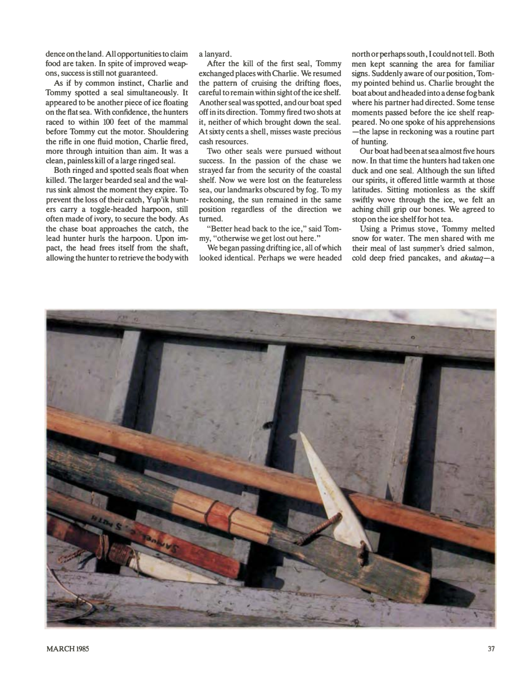**dence on the land. All opportunities to claim food are taken. In spite of improved weapons, success is still not guaranteed.** 

**As if by common instinct, Charlie and Tommy spotted a seal simultaneously. It appeared to be another piece of ice floating on the flat sea. With confidence, the hunters raced to within 100 feet of the mammal before Tommy cut the motor. Shouldering the rifle in one fluid motion, Charlie fired, more through intuition than aim. It was a clean, painless kill of a large ringed seal.** 

**Both ringed and spotted seals float when killed. The larger bearded seal and the walrus sink almost the moment they expire. To prevent the loss of their catch, Yup'ik hunters carry a toggle-headed harpoon, still often made of ivory, to secure the body. As the chase boat approaches the catch, the lead hunter hurls the harpoon. Upon impact, the head frees itself from the shaft, allowing the hunter to retrieve the body with**  **a lanyard.** 

**After the kill of the first seal, Tommy exchanged places with Charlie. We resumed the pattern of cruising the drifting floes, careful to remain within sight of the ice shelf. Another seal was spotted, and our boat sped off in its direction. Tommy fired two shots at it, neither of which brought down the seal. At sixty cents a shell, misses waste precious cash resources.** 

**1\vo other seals were pursued without success. In the passion of the chase we strayed far from the security of the coastal shelf. Now we were lost on the featureless sea, our landmarks obscured by fog. To my reckoning, the sun remained in the same position regardless of the direction we turned.** 

**"Better head back to the ice," said Tommy, "otherwise we get lost out here."** 

**We began passing drifting ice, all of which looked identical. Perhaps we were headed**  **north or perhaps south, I could not tell. Both men kept scanning the area for familiar signs. Suddenly aware of our position, Tommy pointed behind us. Charlie brought the boat about and headed into a dense fog bank where his partner had directed. Some tense moments passed before the ice shelf reappeared. No one spoke of his apprehensions -the lapse in reckoning was a routine part of hunting.**

**Our boat had been at sea almost five hours now. In that time the hunters had taken one duck and one seal. Although the sun lifted our spirits, it offered little warmth at those latitudes. Sitting motionless as the skiff swiftly wove through the ice, we felt an aching chill grip our bones. We agreed to stop on the ice shelf for hot tea.** 

**Using a Primus stove, Tommy melted snow for water. The men shared with me**  their meal of last summer's dried salmon, **cold deep fried pancakes, and** *akutaq-a*